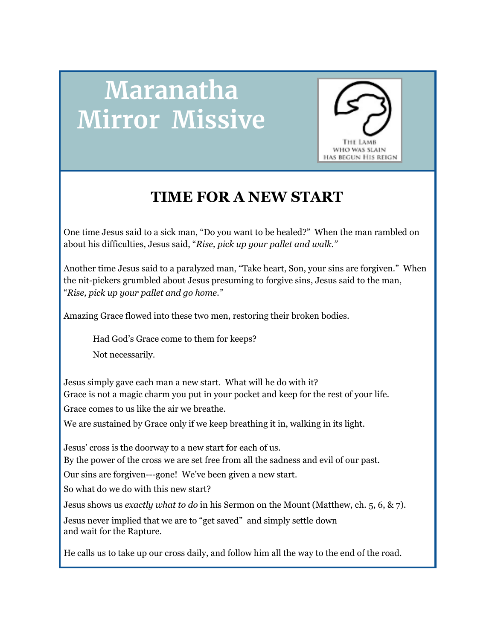## **Maranatha Mirror Missive**



## **TIME FOR A NEW START**

One time Jesus said to a sick man, "Do you want to be healed?" When the man rambled on about his difficulties, Jesus said, "*Rise, pick up your pallet and walk."*

Another time Jesus said to a paralyzed man, "Take heart, Son, your sins are forgiven." When the nit-pickers grumbled about Jesus presuming to forgive sins, Jesus said to the man, "*Rise, pick up your pallet and go home."*

Amazing Grace flowed into these two men, restoring their broken bodies.

Had God's Grace come to them for keeps?

Not necessarily.

Jesus simply gave each man a new start. What will he do with it? Grace is not a magic charm you put in your pocket and keep for the rest of your life. Grace comes to us like the air we breathe.

We are sustained by Grace only if we keep breathing it in, walking in its light.

Jesus' cross is the doorway to a new start for each of us.

By the power of the cross we are set free from all the sadness and evil of our past.

Our sins are forgiven---gone! We've been given a new start.

So what do we do with this new start?

Jesus shows us *exactly what to do* in his Sermon on the Mount (Matthew, ch. 5, 6, & 7).

Jesus never implied that we are to "get saved" and simply settle down and wait for the Rapture.

He calls us to take up our cross daily, and follow him all the way to the end of the road.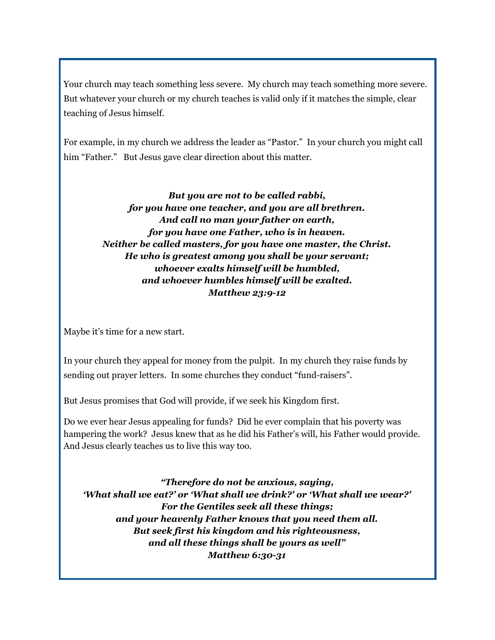Your church may teach something less severe. My church may teach something more severe. But whatever your church or my church teaches is valid only if it matches the simple, clear teaching of Jesus himself.

For example, in my church we address the leader as "Pastor." In your church you might call him "Father." But Jesus gave clear direction about this matter.

> *But you are not to be called rabbi, for you have one teacher, and you are all brethren. And call no man your father on earth, for you have one Father, who is in heaven. Neither be called masters, for you have one master, the Christ. He who is greatest among you shall be your servant; whoever exalts himself will be humbled, and whoever humbles himself will be exalted. Matthew 23:9-12*

Maybe it's time for a new start.

In your church they appeal for money from the pulpit. In my church they raise funds by sending out prayer letters. In some churches they conduct "fund-raisers".

But Jesus promises that God will provide, if we seek his Kingdom first.

Do we ever hear Jesus appealing for funds? Did he ever complain that his poverty was hampering the work? Jesus knew that as he did his Father's will, his Father would provide. And Jesus clearly teaches us to live this way too.

*"Therefore do not be anxious, saying, 'What shall we eat?' or 'What shall we drink?' or 'What shall we wear?' For the Gentiles seek all these things; and your heavenly Father knows that you need them all. But seek first his kingdom and his righteousness, and all these things shall be yours as well" Matthew 6:30-31*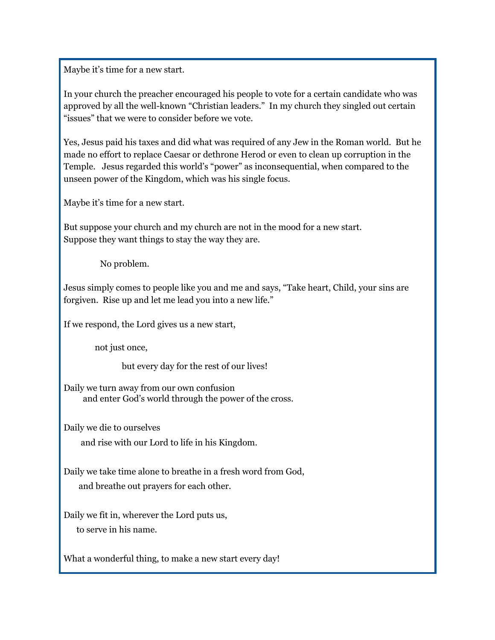Maybe it's time for a new start.

In your church the preacher encouraged his people to vote for a certain candidate who was approved by all the well-known "Christian leaders." In my church they singled out certain "issues" that we were to consider before we vote.

Yes, Jesus paid his taxes and did what was required of any Jew in the Roman world. But he made no effort to replace Caesar or dethrone Herod or even to clean up corruption in the Temple. Jesus regarded this world's "power" as inconsequential, when compared to the unseen power of the Kingdom, which was his single focus.

Maybe it's time for a new start.

But suppose your church and my church are not in the mood for a new start. Suppose they want things to stay the way they are.

No problem.

Jesus simply comes to people like you and me and says, "Take heart, Child, your sins are forgiven. Rise up and let me lead you into a new life."

If we respond, the Lord gives us a new start,

not just once,

but every day for the rest of our lives!

Daily we turn away from our own confusion and enter God's world through the power of the cross.

Daily we die to ourselves

and rise with our Lord to life in his Kingdom.

Daily we take time alone to breathe in a fresh word from God, and breathe out prayers for each other.

Daily we fit in, wherever the Lord puts us, to serve in his name.

What a wonderful thing, to make a new start every day!